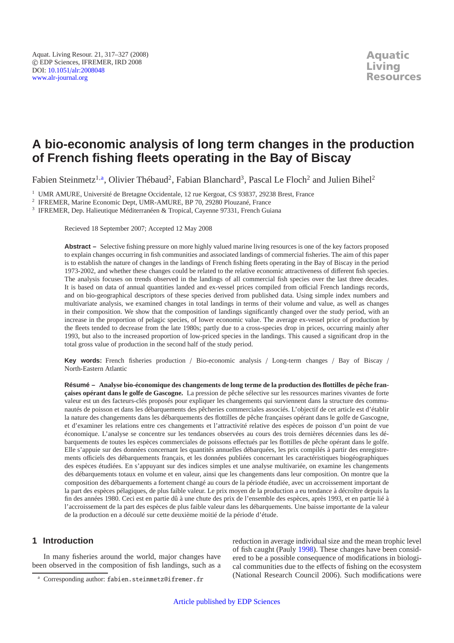# **A bio-economic analysis of long term changes in the production of French fishing fleets operating in the Bay of Biscay**

Fabien Steinmetz<sup>1, a</sup>, Olivier Thébaud<sup>2</sup>, Fabian Blanchard<sup>3</sup>, Pascal Le Floch<sup>2</sup> and Julien Bihel<sup>2</sup>

<sup>1</sup> UMR AMURE, Université de Bretagne Occidentale, 12 rue Kergoat, CS 93837, 29238 Brest, France

<sup>2</sup> IFREMER, Marine Economic Dept, UMR-AMURE, BP 70, 29280 Plouzané, France

<sup>3</sup> IFREMER, Dep. Halieutique Méditerranéen & Tropical, Cayenne 97331, French Guiana

Recieved 18 September 2007; Accepted 12 May 2008

**Abstract –** Selective fishing pressure on more highly valued marine living resources is one of the key factors proposed to explain changes occurring in fish communities and associated landings of commercial fisheries. The aim of this paper is to establish the nature of changes in the landings of French fishing fleets operating in the Bay of Biscay in the period 1973-2002, and whether these changes could be related to the relative economic attractiveness of different fish species. The analysis focuses on trends observed in the landings of all commercial fish species over the last three decades. It is based on data of annual quantities landed and ex-vessel prices compiled from official French landings records, and on bio-geographical descriptors of these species derived from published data. Using simple index numbers and multivariate analysis, we examined changes in total landings in terms of their volume and value, as well as changes in their composition. We show that the composition of landings significantly changed over the study period, with an increase in the proportion of pelagic species, of lower economic value. The average ex-vessel price of production by the fleets tended to decrease from the late 1980s; partly due to a cross-species drop in prices, occurring mainly after 1993, but also to the increased proportion of low-priced species in the landings. This caused a significant drop in the total gross value of production in the second half of the study period.

**Key words:** French fisheries production / Bio-economic analysis / Long-term changes / Bay of Biscay / North-Eastern Atlantic

**Résumé – Analyse bio-économique des changements de long terme de la production des flottilles de pêche françaises opérant dans le golfe de Gascogne.** La pression de pêche sélective sur les ressources marines vivantes de forte valeur est un des facteurs-clés proposés pour expliquer les changements qui surviennent dans la structure des communautés de poisson et dans les débarquements des pêcheries commerciales associés. L'objectif de cet article est d'établir la nature des changements dans les débarquements des flottilles de pêche françaises opérant dans le golfe de Gascogne, et d'examiner les relations entre ces changements et l'attractivité relative des espèces de poisson d'un point de vue économique. L'analyse se concentre sur les tendances observées au cours des trois dernières décennies dans les débarquements de toutes les espèces commerciales de poissons effectués par les flottilles de pêche opérant dans le golfe. Elle s'appuie sur des données concernant les quantités annuelles débarquées, les prix compilés à partir des enregistrements officiels des débarquements français, et les données publiées concernant les caractéristiques biogéographiques des espèces étudiées. En s'appuyant sur des indices simples et une analyse multivariée, on examine les changements des débarquements totaux en volume et en valeur, ainsi que les changements dans leur composition. On montre que la composition des débarquements a fortement changé au cours de la période étudiée, avec un accroissement important de la part des espèces pélagiques, de plus faible valeur. Le prix moyen de la production a eu tendance à décroître depuis la fin des années 1980. Ceci est en partie dû à une chute des prix de l'ensemble des espèces, après 1993, et en partie lié à l'accroissement de la part des espèces de plus faible valeur dans les débarquements. Une baisse importante de la valeur de la production en a découlé sur cette deuxième moitié de la période d'étude.

# **1 Introduction**

In many fisheries around the world, major changes have been observed in the composition of fish landings, such as a reduction in average individual size and the mean trophic level of fish caught (Pauly [1998\)](#page-8-0). These changes have been considered to be a possible consequence of modifications in biological communities due to the effects of fishing on the ecosystem (National Research Council 2006). Such modifications were

<sup>a</sup> Corresponding author: fabien.steinmetz@ifremer.fr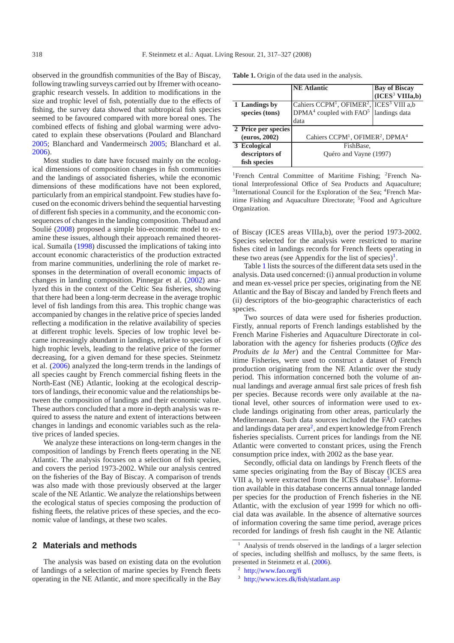observed in the groundfish communities of the Bay of Biscay, following trawling surveys carried out by Ifremer with oceanographic research vessels. In addition to modifications in the size and trophic level of fish, potentially due to the effects of fishing, the survey data showed that subtropical fish species seemed to be favoured compared with more boreal ones. The combined effects of fishing and global warming were advocated to explain these observations (Poulard and Blanchard [2005](#page-9-0); Blanchard and Vandermeirsch [2005;](#page-8-1) Blanchard et al. [2006](#page-8-2)).

Most studies to date have focused mainly on the ecological dimensions of composition changes in fish communities and the landings of associated fisheries, while the economic dimensions of these modifications have not been explored, particularly from an empirical standpoint. Few studies have focused on the economic drivers behind the sequential harvesting of different fish species in a community, and the economic consequences of changes in the landing composition. Thébaud and Soulié [\(2008\)](#page-9-1) proposed a simple bio-economic model to examine these issues, although their approach remained theoretical. Sumaïla [\(1998\)](#page-9-2) discussed the implications of taking into account economic characteristics of the production extracted from marine communities, underlining the role of market responses in the determination of overall economic impacts of changes in landing composition. Pinnegar et al. [\(2002](#page-9-3)) analyzed this in the context of the Celtic Sea fisheries, showing that there had been a long-term decrease in the average trophic level of fish landings from this area. This trophic change was accompanied by changes in the relative price of species landed reflecting a modification in the relative availability of species at different trophic levels. Species of low trophic level became increasingly abundant in landings, relative to species of high trophic levels, leading to the relative price of the former decreasing, for a given demand for these species. Steinmetz et al. [\(2006\)](#page-9-4) analyzed the long-term trends in the landings of all species caught by French commercial fishing fleets in the North-East (NE) Atlantic, looking at the ecological descriptors of landings, their economic value and the relationships between the composition of landings and their economic value. These authors concluded that a more in-depth analysis was required to assess the nature and extent of interactions between changes in landings and economic variables such as the relative prices of landed species.

We analyze these interactions on long-term changes in the composition of landings by French fleets operating in the NE Atlantic. The analysis focuses on a selection of fish species, and covers the period 1973-2002. While our analysis centred on the fisheries of the Bay of Biscay. A comparison of trends was also made with those previously observed at the larger scale of the NE Atlantic. We analyze the relationships between the ecological status of species composing the production of fishing fleets, the relative prices of these species, and the economic value of landings, at these two scales.

## **2 Materials and methods**

The analysis was based on existing data on the evolution of landings of a selection of marine species by French fleets operating in the NE Atlantic, and more specifically in the Bay

<span id="page-1-1"></span>

| Table 1. Origin of the data used in the analysis. |
|---------------------------------------------------|
|---------------------------------------------------|

|                     | <b>NE Atlantic</b>                                                           | <b>Bay of Biscay</b>        |  |
|---------------------|------------------------------------------------------------------------------|-----------------------------|--|
|                     |                                                                              | (ICES <sup>3</sup> VIIIa,b) |  |
| 1 Landings by       | Cahiers CCPM <sup>1</sup> , OFIMER <sup>2</sup> , ICES <sup>3</sup> VIII a,b |                             |  |
| species (tons)      | $D P M A4$ coupled with $F A O5$   landings data                             |                             |  |
|                     | data                                                                         |                             |  |
| 2 Price per species |                                                                              |                             |  |
| (euros, 2002)       | Cahiers CCPM <sup>1</sup> , OFIMER <sup>2</sup> , DPMA <sup>4</sup>          |                             |  |
| 3 Ecological        | FishBase.                                                                    |                             |  |
| descriptors of      | Ouéro and Vayne (1997)                                                       |                             |  |
| fish species        |                                                                              |                             |  |

<sup>1</sup>French Central Committee of Maritime Fishing; <sup>2</sup>French National Interprofessional Office of Sea Products and Aquaculture; <sup>3</sup>International Council for the Exploration of the Sea; <sup>4</sup>French Maritime Fishing and Aquaculture Directorate; 5Food and Agriculture Organization.

of Biscay (ICES areas VIIIa,b), over the period 1973-2002. Species selected for the analysis were restricted to marine fishes cited in landings records for French fleets operating in these two areas (see Appendix for the list of species)<sup>1</sup>.

Table [1](#page-1-1) lists the sources of the different data sets used in the analysis. Data used concerned: (i) annual production in volume and mean ex-vessel price per species, originating from the NE Atlantic and the Bay of Biscay and landed by French fleets and (ii) descriptors of the bio-geographic characteristics of each species.

Two sources of data were used for fisheries production. Firstly, annual reports of French landings established by the French Marine Fisheries and Aquaculture Directorate in collaboration with the agency for fisheries products (*O*ffi*ce des Produits de la Mer*) and the Central Committee for Maritime Fisheries, were used to construct a dataset of French production originating from the NE Atlantic over the study period. This information concerned both the volume of annual landings and average annual first sale prices of fresh fish per species. Because records were only available at the national level, other sources of information were used to exclude landings originating from other areas, particularly the Mediterranean. Such data sources included the FAO catches and landings data per area<sup>2</sup>, and expert knowledge from French fisheries specialists. Current prices for landings from the NE Atlantic were converted to constant prices, using the French consumption price index, with 2002 as the base year.

<span id="page-1-3"></span><span id="page-1-2"></span><span id="page-1-0"></span>Secondly, official data on landings by French fleets of the same species originating from the Bay of Biscay (ICES area VIII a, b) were extracted from the ICES database<sup>3</sup>. Information available in this database concerns annual tonnage landed per species for the production of French fisheries in the NE Atlantic, with the exclusion of year 1999 for which no official data was available. In the absence of alternative sources of information covering the same time period, average prices recorded for landings of fresh fish caught in the NE Atlantic

<sup>1</sup> Analysis of trends observed in the landings of a larger selection of species, including shellfish and molluscs, by the same fleets, is presented in Steinmetz et al. [\(2006](#page-9-4)).

<sup>2</sup> http://[www.fao.org](http://www.fao.org/fi)/fi

<sup>3</sup> http://[www.ices.dk](http://www.ices.dk/fish/statlant.asp)/fish/statlant.asp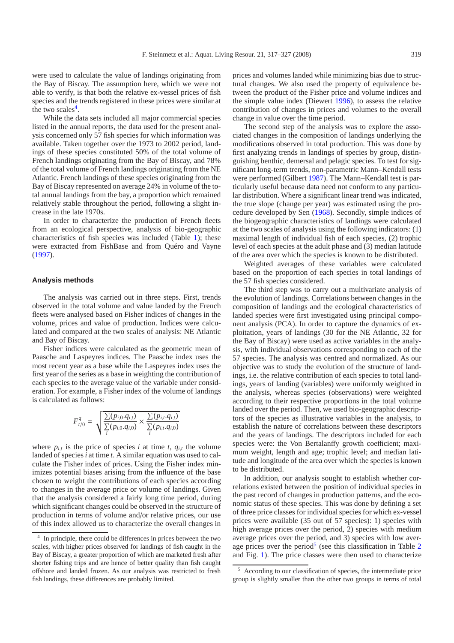were used to calculate the value of landings originating from the Bay of Biscay. The assumption here, which we were not able to verify, is that both the relative ex-vessel prices of fish species and the trends registered in these prices were similar at the two scales $4$ .

While the data sets included all major commercial species listed in the annual reports, the data used for the present analysis concerned only 57 fish species for which information was available. Taken together over the 1973 to 2002 period, landings of these species constituted 50% of the total volume of French landings originating from the Bay of Biscay, and 78% of the total volume of French landings originating from the NE Atlantic. French landings of these species originating from the Bay of Biscay represented on average 24% in volume of the total annual landings from the bay, a proportion which remained relatively stable throughout the period, following a slight increase in the late 1970s.

In order to characterize the production of French fleets from an ecological perspective, analysis of bio-geographic characteristics of fish species was included (Table [1\)](#page-1-1); these were extracted from FishBase and from Quéro and Vayne [\(1997\)](#page-9-5).

#### **Analysis methods**

The analysis was carried out in three steps. First, trends observed in the total volume and value landed by the French fleets were analysed based on Fisher indices of changes in the volume, prices and value of production. Indices were calculated and compared at the two scales of analysis: NE Atlantic and Bay of Biscay.

Fisher indices were calculated as the geometric mean of Paasche and Laspeyres indices. The Paasche index uses the most recent year as a base while the Laspeyres index uses the first year of the series as a base in weighting the contribution of each species to the average value of the variable under consideration. For example, a Fisher index of the volume of landings is calculated as follows:

$$
F_{t/0}^q = \sqrt{\frac{\sum (p_{i,0}.q_{i,t})}{\sum (p_{i,0}.q_{i,0})} \times \frac{\sum (p_{i,t}.q_{i,t})}{\sum (p_{i,t}.q_{i,0})}}
$$

<span id="page-2-0"></span>where  $p_{i,t}$  is the price of species *i* at time *t*,  $q_{i,t}$  the volume landed of species*i* at time *t*. A similar equation was used to calculate the Fisher index of prices. Using the Fisher index minimizes potential biases arising from the influence of the base chosen to weight the contributions of each species according to changes in the average price or volume of landings. Given that the analysis considered a fairly long time period, during which significant changes could be observed in the structure of production in terms of volume and/or relative prices, our use of this index allowed us to characterize the overall changes in

prices and volumes landed while minimizing bias due to structural changes. We also used the property of equivalence between the product of the Fisher price and volume indices and the simple value index (Diewert [1996](#page-8-3)), to assess the relative contribution of changes in prices and volumes to the overall change in value over the time period.

The second step of the analysis was to explore the associated changes in the composition of landings underlying the modifications observed in total production. This was done by first analyzing trends in landings of species by group, distinguishing benthic, demersal and pelagic species. To test for significant long-term trends, non-parametric Mann–Kendall tests were performed (Gilbert [1987\)](#page-8-4). The Mann–Kendall test is particularly useful because data need not conform to any particular distribution. Where a significant linear trend was indicated, the true slope (change per year) was estimated using the procedure developed by Sen [\(1968\)](#page-9-6). Secondly, simple indices of the biogeographic characteristics of landings were calculated at the two scales of analysis using the following indicators: (1) maximal length of individual fish of each species, (2) trophic level of each species at the adult phase and (3) median latitude of the area over which the species is known to be distributed.

Weighted averages of these variables were calculated based on the proportion of each species in total landings of the 57 fish species considered.

The third step was to carry out a multivariate analysis of the evolution of landings. Correlations between changes in the composition of landings and the ecological characteristics of landed species were first investigated using principal component analysis (PCA). In order to capture the dynamics of exploitation, years of landings (30 for the NE Atlantic, 32 for the Bay of Biscay) were used as active variables in the analysis, with individual observations corresponding to each of the 57 species. The analysis was centred and normalized. As our objective was to study the evolution of the structure of landings, i.e. the relative contribution of each species to total landings, years of landing (variables) were uniformly weighted in the analysis, whereas species (observations) were weighted according to their respective proportions in the total volume landed over the period. Then, we used bio-geographic descriptors of the species as illustrative variables in the analysis, to establish the nature of correlations between these descriptors and the years of landings. The descriptors included for each species were: the Von Bertalanffy growth coefficient; maximum weight, length and age; trophic level; and median latitude and longitude of the area over which the species is known to be distributed.

<span id="page-2-1"></span>In addition, our analysis sought to establish whether correlations existed between the position of individual species in the past record of changes in production patterns, and the economic status of these species. This was done by defining a set of three price classes for individual species for which ex-vessel prices were available (35 out of 57 species): 1) species with high average prices over the period, 2) species with medium average prices over the period, and 3) species with low aver-age prices over the period<sup>[5](#page-2-1)</sup> (see this classification in Table  $2$ and Fig. [1\)](#page-3-1). The price classes were then used to characterize

<sup>4</sup> In principle, there could be differences in prices between the two scales, with higher prices observed for landings of fish caught in the Bay of Biscay, a greater proportion of which are marketed fresh after shorter fishing trips and are hence of better quality than fish caught offshore and landed frozen. As our analysis was restricted to fresh fish landings, these differences are probably limited.

<sup>5</sup> According to our classification of species, the intermediate price group is slightly smaller than the other two groups in terms of total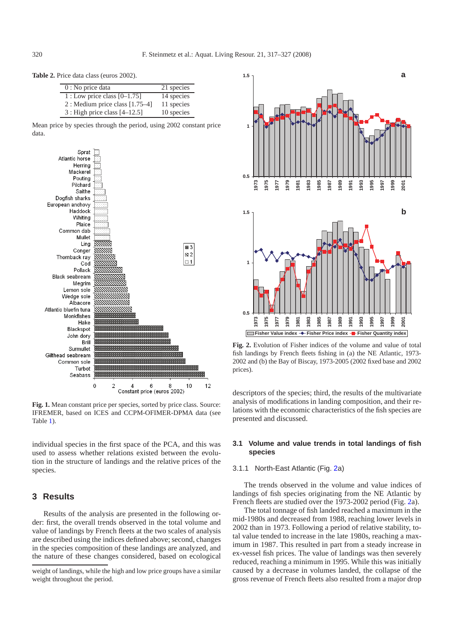<span id="page-3-0"></span>**Table 2.** Price data class (euros 2002).

| $0:$ No price data                | 21 species |
|-----------------------------------|------------|
| 1 : Low price class $[0-1.75]$    | 14 species |
| 2 : Medium price class $[1.75-4]$ | 11 species |
| $3:$ High price class $[4–12.5]$  | 10 species |

Mean price by species through the period, using 2002 constant price data.



<span id="page-3-1"></span>**Fig. 1.** Mean constant price per species, sorted by price class. Source: IFREMER, based on ICES and CCPM-OFIMER-DPMA data (see Table [1\)](#page-1-1).

individual species in the first space of the PCA, and this was used to assess whether relations existed between the evolution in the structure of landings and the relative prices of the species.

# **3 Results**

Results of the analysis are presented in the following order: first, the overall trends observed in the total volume and value of landings by French fleets at the two scales of analysis are described using the indices defined above; second, changes in the species composition of these landings are analyzed, and the nature of these changes considered, based on ecological



<span id="page-3-2"></span>**Fig. 2.** Evolution of Fisher indices of the volume and value of total fish landings by French fleets fishing in (a) the NE Atlantic, 1973- 2002 and (b) the Bay of Biscay, 1973-2005 (2002 fixed base and 2002 prices).

descriptors of the species; third, the results of the multivariate analysis of modifications in landing composition, and their relations with the economic characteristics of the fish species are presented and discussed.

# **3.1 Volume and value trends in total landings of fish species**

## 3.1.1 North-East Atlantic (Fig. [2a](#page-3-2))

The trends observed in the volume and value indices of landings of fish species originating from the NE Atlantic by French fleets are studied over the 1973-2002 period (Fig. [2a](#page-3-2)).

The total tonnage of fish landed reached a maximum in the mid-1980s and decreased from 1988, reaching lower levels in 2002 than in 1973. Following a period of relative stability, total value tended to increase in the late 1980s, reaching a maximum in 1987. This resulted in part from a steady increase in ex-vessel fish prices. The value of landings was then severely reduced, reaching a minimum in 1995. While this was initially caused by a decrease in volumes landed, the collapse of the gross revenue of French fleets also resulted from a major drop

weight of landings, while the high and low price groups have a similar weight throughout the period.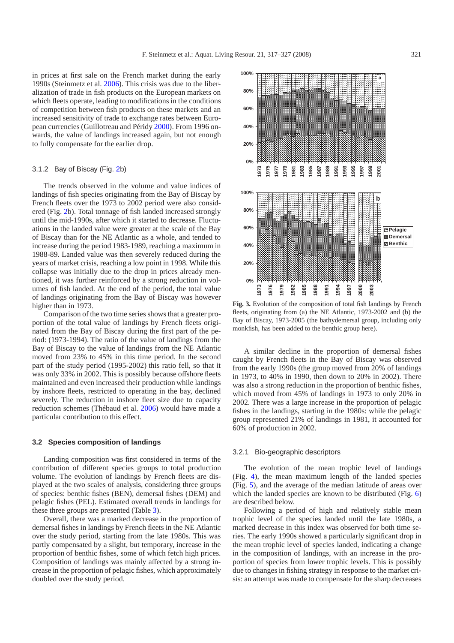in prices at first sale on the French market during the early 1990s (Steinmetz et al. [2006](#page-9-4)). This crisis was due to the liberalization of trade in fish products on the European markets on which fleets operate, leading to modifications in the conditions of competition between fish products on these markets and an increased sensitivity of trade to exchange rates between European currencies (Guillotreau and Péridy [2000](#page-8-5)). From 1996 onwards, the value of landings increased again, but not enough to fully compensate for the earlier drop.

#### 3.1.2 Bay of Biscay (Fig. [2b](#page-3-2))

The trends observed in the volume and value indices of landings of fish species originating from the Bay of Biscay by French fleets over the 1973 to 2002 period were also considered (Fig. [2b](#page-3-2)). Total tonnage of fish landed increased strongly until the mid-1990s, after which it started to decrease. Fluctuations in the landed value were greater at the scale of the Bay of Biscay than for the NE Atlantic as a whole, and tended to increase during the period 1983-1989, reaching a maximum in 1988-89. Landed value was then severely reduced during the years of market crisis, reaching a low point in 1998. While this collapse was initially due to the drop in prices already mentioned, it was further reinforced by a strong reduction in volumes of fish landed. At the end of the period, the total value of landings originating from the Bay of Biscay was however higher than in 1973.

Comparison of the two time series shows that a greater proportion of the total value of landings by French fleets originated from the Bay of Biscay during the first part of the period: (1973-1994). The ratio of the value of landings from the Bay of Biscay to the value of landings from the NE Atlantic moved from 23% to 45% in this time period. In the second part of the study period (1995-2002) this ratio fell, so that it was only 33% in 2002. This is possibly because offshore fleets maintained and even increased their production while landings by inshore fleets, restricted to operating in the bay, declined severely. The reduction in inshore fleet size due to capacity reduction schemes (Thébaud et al. [2006](#page-9-7)) would have made a particular contribution to this effect.

### **3.2 Species composition of landings**

Landing composition was first considered in terms of the contribution of different species groups to total production volume. The evolution of landings by French fleets are displayed at the two scales of analysis, considering three groups of species: benthic fishes (BEN), demersal fishes (DEM) and pelagic fishes (PEL). Estimated overall trends in landings for these three groups are presented (Table [3\)](#page-5-0).

Overall, there was a marked decrease in the proportion of demersal fishes in landings by French fleets in the NE Atlantic over the study period, starting from the late 1980s. This was partly compensated by a slight, but temporary, increase in the proportion of benthic fishes, some of which fetch high prices. Composition of landings was mainly affected by a strong increase in the proportion of pelagic fishes, which approximately doubled over the study period.



**Fig. 3.** Evolution of the composition of total fish landings by French fleets, originating from (a) the NE Atlantic, 1973-2002 and (b) the Bay of Biscay, 1973-2005 (the bathydemersal group, including only monkfish, has been added to the benthic group here).

A similar decline in the proportion of demersal fishes caught by French fleets in the Bay of Biscay was observed from the early 1990s (the group moved from 20% of landings in 1973, to 40% in 1990, then down to 20% in 2002). There was also a strong reduction in the proportion of benthic fishes, which moved from 45% of landings in 1973 to only 20% in 2002. There was a large increase in the proportion of pelagic fishes in the landings, starting in the 1980s: while the pelagic group represented 21% of landings in 1981, it accounted for 60% of production in 2002.

#### 3.2.1 Bio-geographic descriptors

The evolution of the mean trophic level of landings (Fig. [4\)](#page-5-1), the mean maximum length of the landed species (Fig. [5\)](#page-5-2), and the average of the median latitude of areas over which the landed species are known to be distributed (Fig. [6\)](#page-5-3) are described below.

Following a period of high and relatively stable mean trophic level of the species landed until the late 1980s, a marked decrease in this index was observed for both time series. The early 1990s showed a particularly significant drop in the mean trophic level of species landed, indicating a change in the composition of landings, with an increase in the proportion of species from lower trophic levels. This is possibly due to changes in fishing strategy in response to the market crisis: an attempt was made to compensate for the sharp decreases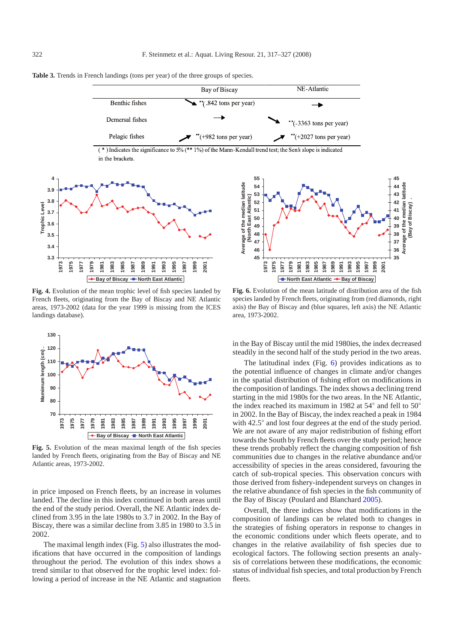<span id="page-5-1"></span>

<span id="page-5-0"></span>**Table 3.** Trends in French landings (tons per year) of the three groups of species.

**Fig. 4.** Evolution of the mean trophic level of fish species landed by French fleets, originating from the Bay of Biscay and NE Atlantic areas, 1973-2002 (data for the year 1999 is missing from the ICES landings database).

<span id="page-5-2"></span>

**Fig. 5.** Evolution of the mean maximal length of the fish species landed by French fleets, originating from the Bay of Biscay and NE Atlantic areas, 1973-2002.

in price imposed on French fleets, by an increase in volumes landed. The decline in this index continued in both areas until the end of the study period. Overall, the NE Atlantic index declined from 3.95 in the late 1980s to 3.7 in 2002. In the Bay of Biscay, there was a similar decline from 3.85 in 1980 to 3.5 in 2002.

The maximal length index (Fig. [5\)](#page-5-2) also illustrates the modifications that have occurred in the composition of landings throughout the period. The evolution of this index shows a trend similar to that observed for the trophic level index: following a period of increase in the NE Atlantic and stagnation

<span id="page-5-3"></span>**Fig. 6.** Evolution of the mean latitude of distribution area of the fish species landed by French fleets, originating from (red diamonds, right axis) the Bay of Biscay and (blue squares, left axis) the NE Atlantic area, 1973-2002.

**Average of the median latitude (Bay of Biscay) .**

(Bay of Biscay)

Average of the median latitude

in the Bay of Biscay until the mid 1980ies, the index decreased steadily in the second half of the study period in the two areas.

The latitudinal index (Fig. [6\)](#page-5-3) provides indications as to the potential influence of changes in climate and/or changes in the spatial distribution of fishing effort on modifications in the composition of landings. The index shows a declining trend starting in the mid 1980s for the two areas. In the NE Atlantic, the index reached its maximum in 1982 at 54◦ and fell to 50◦ in 2002. In the Bay of Biscay, the index reached a peak in 1984 with 42.5◦ and lost four degrees at the end of the study period. We are not aware of any major redistribution of fishing effort towards the South by French fleets over the study period; hence these trends probably reflect the changing composition of fish communities due to changes in the relative abundance and/or accessibility of species in the areas considered, favouring the catch of sub-tropical species. This observation concurs with those derived from fishery-independent surveys on changes in the relative abundance of fish species in the fish community of the Bay of Biscay (Poulard and Blanchard [2005\)](#page-9-0).

Overall, the three indices show that modifications in the composition of landings can be related both to changes in the strategies of fishing operators in response to changes in the economic conditions under which fleets operate, and to changes in the relative availability of fish species due to ecological factors. The following section presents an analysis of correlations between these modifications, the economic status of individual fish species, and total production by French fleets.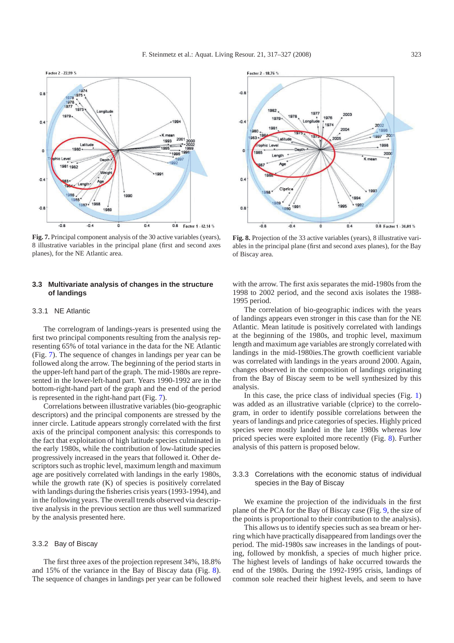<span id="page-6-0"></span>

**Fig. 7.** Principal component analysis of the 30 active variables (years), 8 illustrative variables in the principal plane (first and second axes planes), for the NE Atlantic area.

## **3.3 Multivariate analysis of changes in the structure of landings**

#### 3.3.1 NE Atlantic

The correlogram of landings-years is presented using the first two principal components resulting from the analysis representing 65% of total variance in the data for the NE Atlantic (Fig. [7\)](#page-6-0). The sequence of changes in landings per year can be followed along the arrow. The beginning of the period starts in the upper-left hand part of the graph. The mid-1980s are represented in the lower-left-hand part. Years 1990-1992 are in the bottom-right-hand part of the graph and the end of the period is represented in the right-hand part (Fig. [7\)](#page-6-0).

Correlations between illustrative variables (bio-geographic descriptors) and the principal components are stressed by the inner circle. Latitude appears strongly correlated with the first axis of the principal component analysis: this corresponds to the fact that exploitation of high latitude species culminated in the early 1980s, while the contribution of low-latitude species progressively increased in the years that followed it. Other descriptors such as trophic level, maximum length and maximum age are positively correlated with landings in the early 1980s, while the growth rate (K) of species is positively correlated with landings during the fisheries crisis years (1993-1994), and in the following years. The overall trends observed via descriptive analysis in the previous section are thus well summarized by the analysis presented here.

#### 3.3.2 Bay of Biscay

The first three axes of the projection represent 34%, 18.8% and 15% of the variance in the Bay of Biscay data (Fig. [8\)](#page-6-1). The sequence of changes in landings per year can be followed

<span id="page-6-1"></span>

**Fig. 8.** Projection of the 33 active variables (years), 8 illustrative variables in the principal plane (first and second axes planes), for the Bay of Biscay area.

with the arrow. The first axis separates the mid-1980s from the 1998 to 2002 period, and the second axis isolates the 1988- 1995 period.

The correlation of bio-geographic indices with the years of landings appears even stronger in this case than for the NE Atlantic. Mean latitude is positively correlated with landings at the beginning of the 1980s, and trophic level, maximum length and maximum age variables are strongly correlated with landings in the mid-1980ies.The growth coefficient variable was correlated with landings in the years around 2000. Again, changes observed in the composition of landings originating from the Bay of Biscay seem to be well synthesized by this analysis.

In this case, the price class of individual species (Fig. [1\)](#page-3-1) was added as an illustrative variable (clprice) to the correlogram, in order to identify possible correlations between the years of landings and price categories of species. Highly priced species were mostly landed in the late 1980s whereas low priced species were exploited more recently (Fig. [8\)](#page-6-1). Further analysis of this pattern is proposed below.

## 3.3.3 Correlations with the economic status of individual species in the Bay of Biscay

We examine the projection of the individuals in the first plane of the PCA for the Bay of Biscay case (Fig. [9,](#page-7-0) the size of the points is proportional to their contribution to the analysis).

This allows us to identify species such as sea bream or herring which have practically disappeared from landings over the period. The mid-1980s saw increases in the landings of pouting, followed by monkfish, a species of much higher price. The highest levels of landings of hake occurred towards the end of the 1980s. During the 1992-1995 crisis, landings of common sole reached their highest levels, and seem to have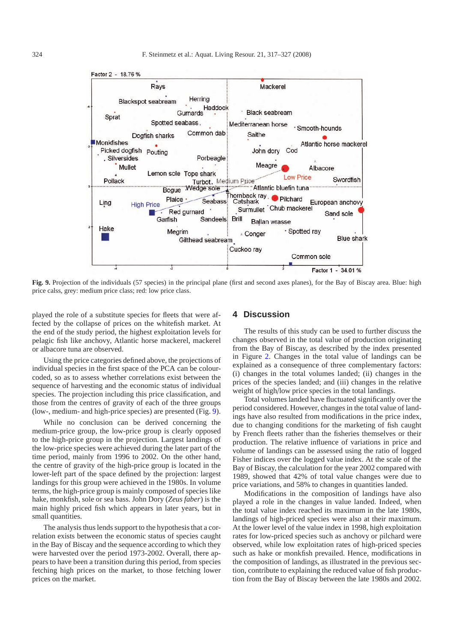

<span id="page-7-0"></span>**Fig. 9.** Projection of the individuals (57 species) in the principal plane (first and second axes planes), for the Bay of Biscay area. Blue: high price calss, grey: medium price class; red: low price class.

played the role of a substitute species for fleets that were affected by the collapse of prices on the whitefish market. At the end of the study period, the highest exploitation levels for pelagic fish like anchovy, Atlantic horse mackerel, mackerel or albacore tuna are observed.

Using the price categories defined above, the projections of individual species in the first space of the PCA can be colourcoded, so as to assess whether correlations exist between the sequence of harvesting and the economic status of individual species. The projection including this price classification, and those from the centres of gravity of each of the three groups (low-, medium- and high-price species) are presented (Fig. [9\)](#page-7-0).

While no conclusion can be derived concerning the medium-price group, the low-price group is clearly opposed to the high-price group in the projection. Largest landings of the low-price species were achieved during the later part of the time period, mainly from 1996 to 2002. On the other hand, the centre of gravity of the high-price group is located in the lower-left part of the space defined by the projection: largest landings for this group were achieved in the 1980s. In volume terms, the high-price group is mainly composed of species like hake, monkfish, sole or sea bass. John Dory (*Zeus faber*) is the main highly priced fish which appears in later years, but in small quantities.

The analysis thus lends support to the hypothesis that a correlation exists between the economic status of species caught in the Bay of Biscay and the sequence according to which they were harvested over the period 1973-2002. Overall, there appears to have been a transition during this period, from species fetching high prices on the market, to those fetching lower prices on the market.

## **4 Discussion**

The results of this study can be used to further discuss the changes observed in the total value of production originating from the Bay of Biscay, as described by the index presented in Figure [2.](#page-3-2) Changes in the total value of landings can be explained as a consequence of three complementary factors: (i) changes in the total volumes landed; (ii) changes in the prices of the species landed; and (iii) changes in the relative weight of high/low price species in the total landings.

Total volumes landed have fluctuated significantly over the period considered. However, changes in the total value of landings have also resulted from modifications in the price index, due to changing conditions for the marketing of fish caught by French fleets rather than the fisheries themselves or their production. The relative influence of variations in price and volume of landings can be assessed using the ratio of logged Fisher indices over the logged value index. At the scale of the Bay of Biscay, the calculation for the year 2002 compared with 1989, showed that 42% of total value changes were due to price variations, and 58% to changes in quantities landed.

Modifications in the composition of landings have also played a role in the changes in value landed. Indeed, when the total value index reached its maximum in the late 1980s, landings of high-priced species were also at their maximum. At the lower level of the value index in 1998, high exploitation rates for low-priced species such as anchovy or pilchard were observed, while low exploitation rates of high-priced species such as hake or monkfish prevailed. Hence, modifications in the composition of landings, as illustrated in the previous section, contribute to explaining the reduced value of fish production from the Bay of Biscay between the late 1980s and 2002.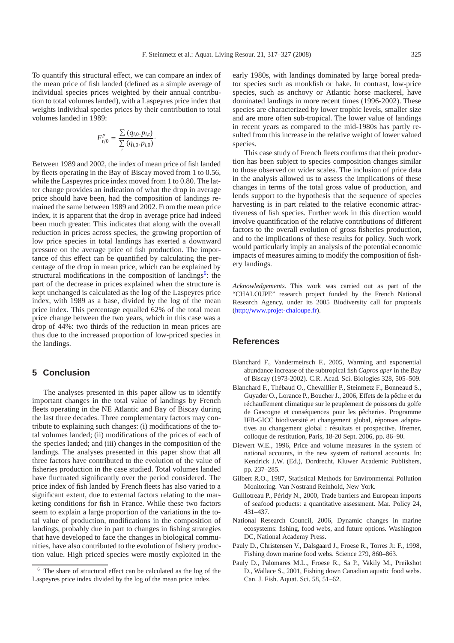To quantify this structural effect, we can compare an index of the mean price of fish landed (defined as a simple average of individual species prices weighted by their annual contribution to total volumes landed), with a Laspeyres price index that weights individual species prices by their contribution to total volumes landed in 1989:

$$
F_{t/0}^p = \frac{\sum (q_{i,0}.p_{i,t})}{\sum_i (q_{i,0}.p_{i,0})}.
$$

Between 1989 and 2002, the index of mean price of fish landed by fleets operating in the Bay of Biscay moved from 1 to 0.56, while the Laspeyres price index moved from 1 to 0.80. The latter change provides an indication of what the drop in average price should have been, had the composition of landings remained the same between 1989 and 2002. From the mean price index, it is apparent that the drop in average price had indeed been much greater. This indicates that along with the overall reduction in prices across species, the growing proportion of low price species in total landings has exerted a downward pressure on the average price of fish production. The importance of this effect can be quantified by calculating the percentage of the drop in mean price, which can be explained by structural modifications in the composition of landings<sup>6</sup>: the part of the decrease in prices explained when the structure is kept unchanged is calculated as the log of the Laspeyres price index, with 1989 as a base, divided by the log of the mean price index. This percentage equalled 62% of the total mean price change between the two years, which in this case was a drop of 44%: two thirds of the reduction in mean prices are thus due to the increased proportion of low-priced species in the landings.

# **5 Conclusion**

<span id="page-8-6"></span>The analyses presented in this paper allow us to identify important changes in the total value of landings by French fleets operating in the NE Atlantic and Bay of Biscay during the last three decades. Three complementary factors may contribute to explaining such changes: (i) modifications of the total volumes landed; (ii) modifications of the prices of each of the species landed; and (iii) changes in the composition of the landings. The analyses presented in this paper show that all three factors have contributed to the evolution of the value of fisheries production in the case studied. Total volumes landed have fluctuated significantly over the period considered. The price index of fish landed by French fleets has also varied to a significant extent, due to external factors relating to the marketing conditions for fish in France. While these two factors seem to explain a large proportion of the variations in the total value of production, modifications in the composition of landings, probably due in part to changes in fishing strategies that have developed to face the changes in biological communities, have also contributed to the evolution of fishery production value. High priced species were mostly exploited in the

early 1980s, with landings dominated by large boreal predator species such as monkfish or hake. In contrast, low-price species, such as anchovy or Atlantic horse mackerel, have dominated landings in more recent times (1996-2002). These species are characterized by lower trophic levels, smaller size and are more often sub-tropical. The lower value of landings in recent years as compared to the mid-1980s has partly resulted from this increase in the relative weight of lower valued species.

This case study of French fleets confirms that their production has been subject to species composition changes similar to those observed on wider scales. The inclusion of price data in the analysis allowed us to assess the implications of these changes in terms of the total gross value of production, and lends support to the hypothesis that the sequence of species harvesting is in part related to the relative economic attractiveness of fish species. Further work in this direction would involve quantification of the relative contributions of different factors to the overall evolution of gross fisheries production, and to the implications of these results for policy. Such work would particularly imply an analysis of the potential economic impacts of measures aiming to modify the composition of fishery landings.

*Acknowledgements.* This work was carried out as part of the "CHALOUPE" research project funded by the French National Research Agency, under its 2005 Biodiversity call for proposals (http://[www.projet-chaloupe.fr\)](http://www.projet-chaloupe.fr).

# **References**

- <span id="page-8-1"></span>Blanchard F., Vandermeirsch F., 2005, Warming and exponential abundance increase of the subtropical fish *Capros aper* in the Bay of Biscay (1973-2002). C.R. Acad. Sci. Biologies 328, 505–509.
- <span id="page-8-2"></span>Blanchard F., Thébaud O., Chevaillier P., Steinmetz F., Bonneaud S., Guyader O., Lorance P., Boucher J., 2006, Effets de la pêche et du réchauffement climatique sur le peuplement de poissons du golfe de Gascogne et conséquences pour les pêcheries. Programme IFB-GICC biodiversité et changement global, réponses adaptatives au changement global : résultats et prospective. Ifremer, colloque de restitution, Paris, 18-20 Sept. 2006, pp. 86–90.
- <span id="page-8-3"></span>Diewert W.E., 1996, Price and volume measures in the system of national accounts, in the new system of national accounts. In: Kendrick J.W. (Ed.), Dordrecht, Kluwer Academic Publishers, pp. 237–285.
- <span id="page-8-4"></span>Gilbert R.O., 1987, Statistical Methods for Environmental Pollution Monitoring. Van Nostrand Reinhold, New York.
- <span id="page-8-5"></span>Guillotreau P., Péridy N., 2000, Trade barriers and European imports of seafood products: a quantitative assessment. Mar. Policy 24, 431–437.
- National Research Council, 2006, Dynamic changes in marine ecosystems: fishing, food webs, and future options. Washington DC, National Academy Press.
- <span id="page-8-0"></span>Pauly D., Christensen V., Dalsgaard J., Froese R., Torres Jr. F., 1998, Fishing down marine food webs. Science 279, 860–863.
- Pauly D., Palomares M.L., Froese R., Sa P., Vakily M., Preikshot D., Wallace S., 2001, Fishing down Canadian aquatic food webs. Can. J. Fish. Aquat. Sci. 58, 51–62.

The share of structural effect can be calculated as the log of the Laspeyres price index divided by the log of the mean price index.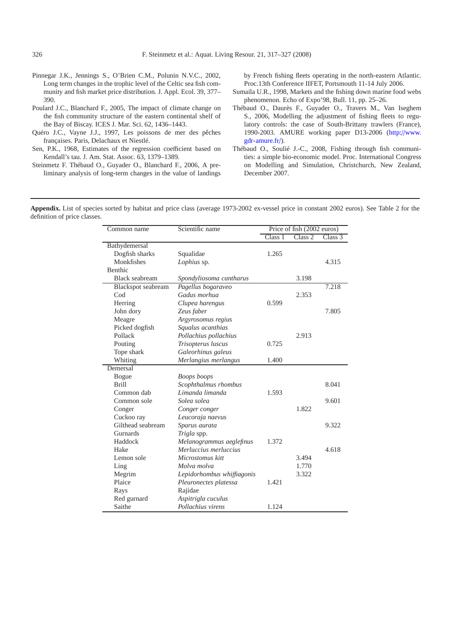- <span id="page-9-3"></span>Pinnegar J.K., Jennings S., O'Brien C.M., Polunin N.V.C., 2002, Long term changes in the trophic level of the Celtic sea fish community and fish market price distribution. J. Appl. Ecol. 39, 377– 390.
- <span id="page-9-0"></span>Poulard J.C., Blanchard F., 2005, The impact of climate change on the fish community structure of the eastern continental shelf of the Bay of Biscay. ICES J. Mar. Sci. 62, 1436–1443.
- <span id="page-9-5"></span>Quéro J.C., Vayne J.J., 1997, Les poissons de mer des pêches françaises. Paris, Delachaux et Niestlé.
- <span id="page-9-6"></span>Sen, P.K., 1968, Estimates of the regression coefficient based on Kendall's tau. J. Am. Stat. Assoc. 63, 1379–1389.
- <span id="page-9-4"></span>Steinmetz F. Thébaud O., Guyader O., Blanchard F., 2006, A preliminary analysis of long-term changes in the value of landings

by French fishing fleets operating in the north-eastern Atlantic. Proc.13th Conference IIFET, Portsmouth 11-14 July 2006.

- <span id="page-9-2"></span>Sumaila U.R., 1998, Markets and the fishing down marine food webs phenomenon. Echo of Expo'98, Bull. 11, pp. 25–26.
- <span id="page-9-7"></span>Thébaud O., Daurès F., Guyader O., Travers M., Van Iseghem S., 2006, Modelling the adjustment of fishing fleets to regulatory controls: the case of South-Brittany trawlers (France), 1990-2003. AMURE working paper D13-2006 (http://[www.](http://www.gdr-amure.fr/) [gdr-amure.fr](http://www.gdr-amure.fr/)/).
- <span id="page-9-1"></span>Thébaud O., Soulié J.-C., 2008, Fishing through fish communities: a simple bio-economic model. Proc. International Congress on Modelling and Simulation, Christchurch, New Zealand, December 2007.

**Appendix.** List of species sorted by habitat and price class (average 1973-2002 ex-vessel price in constant 2002 euros). See Table 2 for the definition of price classes.

| Common name        | Scientific name            | Price of fish (2002 euros) |         |         |
|--------------------|----------------------------|----------------------------|---------|---------|
|                    |                            | Class 1                    | Class 2 | Class 3 |
| Bathydemersal      |                            |                            |         |         |
| Dogfish sharks     | Squalidae                  | 1.265                      |         |         |
| Monkfishes         | Lophius sp.                |                            |         | 4.315   |
| Benthic            |                            |                            |         |         |
| Black seabream     | Spondyliosoma cantharus    |                            | 3.198   |         |
| Blackspot seabream | Pagellus bogaraveo         |                            |         | 7.218   |
| C <sub>od</sub>    | Gadus morhua               |                            | 2.353   |         |
| Herring            | Clupea harengus            | 0.599                      |         |         |
| John dory          | Zeus faber                 |                            |         | 7.805   |
| Meagre             | Argyrosomus regius         |                            |         |         |
| Picked dogfish     | Squalus acanthias          |                            |         |         |
| Pollack            | Pollachius pollachius      |                            | 2.913   |         |
| Pouting            | Trisopterus luscus         | 0.725                      |         |         |
| Tope shark         | Galeorhinus galeus         |                            |         |         |
| Whiting            | Merlangius merlangus       | 1.400                      |         |         |
| Demersal           |                            |                            |         |         |
| <b>Bogue</b>       | Boops boops                |                            |         |         |
| <b>Brill</b>       | Scophthalmus rhombus       |                            |         | 8.041   |
| Common dab         | Limanda limanda            | 1.593                      |         |         |
| Common sole        | Solea solea                |                            |         | 9.601   |
| Conger             | Conger conger              |                            | 1.822   |         |
| Cuckoo ray         | Leucoraja naevus           |                            |         |         |
| Gilthead seabream  | Sparus aurata              |                            |         | 9.322   |
| Gurnards           | Trigla spp.                |                            |         |         |
| Haddock            | Melanogrammus aeglefinus   | 1.372                      |         |         |
| Hake               | Merluccius merluccius      |                            |         | 4.618   |
| Lemon sole         | Microstomus kitt           |                            | 3.494   |         |
| Ling               | Molva molva                |                            | 1.770   |         |
| Megrim             | Lepidorhombus whiffiagonis |                            | 3.322   |         |
| Plaice             | Pleuronectes platessa      | 1.421                      |         |         |
| Rays               | Rajidae                    |                            |         |         |
| Red gurnard        | Aspitrigla cuculus         |                            |         |         |
| Saithe             | Pollachius virens          | 1.124                      |         |         |